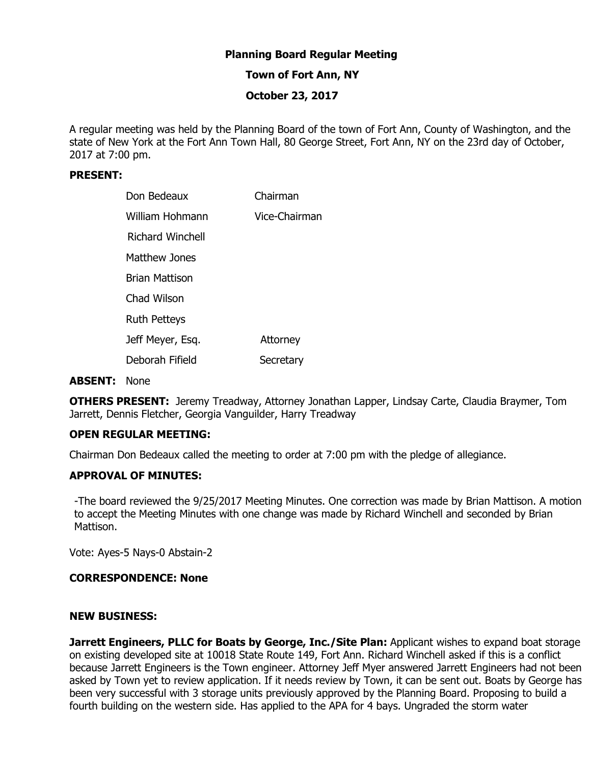## **Planning Board Regular Meeting**

## **Town of Fort Ann, NY**

## **October 23, 2017**

A regular meeting was held by the Planning Board of the town of Fort Ann, County of Washington, and the state of New York at the Fort Ann Town Hall, 80 George Street, Fort Ann, NY on the 23rd day of October, 2017 at 7:00 pm.

### **PRESENT:**

| Don Bedeaux         | Chairman        |
|---------------------|-----------------|
| William Hohmann     | Vice-Chairman   |
| Richard Winchell    |                 |
| Matthew Jones       |                 |
| Brian Mattison      |                 |
| Chad Wilson         |                 |
| <b>Ruth Petteys</b> |                 |
| Jeff Meyer, Esq.    | <b>Attorney</b> |
| Deborah Fifield     | Secretary       |

#### **ABSENT:** None

**OTHERS PRESENT:** Jeremy Treadway, Attorney Jonathan Lapper, Lindsay Carte, Claudia Braymer, Tom Jarrett, Dennis Fletcher, Georgia Vanguilder, Harry Treadway

### **OPEN REGULAR MEETING:**

Chairman Don Bedeaux called the meeting to order at 7:00 pm with the pledge of allegiance.

#### **APPROVAL OF MINUTES:**

-The board reviewed the 9/25/2017 Meeting Minutes. One correction was made by Brian Mattison. A motion to accept the Meeting Minutes with one change was made by Richard Winchell and seconded by Brian Mattison.

Vote: Ayes-5 Nays-0 Abstain-2

#### **CORRESPONDENCE: None**

#### **NEW BUSINESS:**

**Jarrett Engineers, PLLC for Boats by George, Inc./Site Plan: Applicant wishes to expand boat storage** on existing developed site at 10018 State Route 149, Fort Ann. Richard Winchell asked if this is a conflict because Jarrett Engineers is the Town engineer. Attorney Jeff Myer answered Jarrett Engineers had not been asked by Town yet to review application. If it needs review by Town, it can be sent out. Boats by George has been very successful with 3 storage units previously approved by the Planning Board. Proposing to build a fourth building on the western side. Has applied to the APA for 4 bays. Ungraded the storm water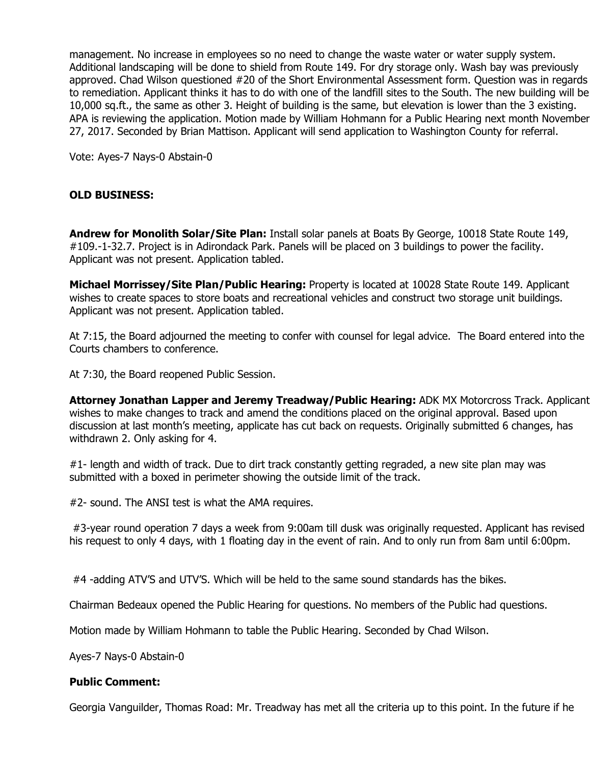management. No increase in employees so no need to change the waste water or water supply system. Additional landscaping will be done to shield from Route 149. For dry storage only. Wash bay was previously approved. Chad Wilson questioned #20 of the Short Environmental Assessment form. Question was in regards to remediation. Applicant thinks it has to do with one of the landfill sites to the South. The new building will be 10,000 sq.ft., the same as other 3. Height of building is the same, but elevation is lower than the 3 existing. APA is reviewing the application. Motion made by William Hohmann for a Public Hearing next month November 27, 2017. Seconded by Brian Mattison. Applicant will send application to Washington County for referral.

Vote: Ayes-7 Nays-0 Abstain-0

# **OLD BUSINESS:**

**Andrew for Monolith Solar/Site Plan:** Install solar panels at Boats By George, 10018 State Route 149, #109.-1-32.7. Project is in Adirondack Park. Panels will be placed on 3 buildings to power the facility. Applicant was not present. Application tabled.

**Michael Morrissey/Site Plan/Public Hearing:** Property is located at 10028 State Route 149. Applicant wishes to create spaces to store boats and recreational vehicles and construct two storage unit buildings. Applicant was not present. Application tabled.

At 7:15, the Board adjourned the meeting to confer with counsel for legal advice. The Board entered into the Courts chambers to conference.

At 7:30, the Board reopened Public Session.

**Attorney Jonathan Lapper and Jeremy Treadway/Public Hearing:** ADK MX Motorcross Track. Applicant wishes to make changes to track and amend the conditions placed on the original approval. Based upon discussion at last month's meeting, applicate has cut back on requests. Originally submitted 6 changes, has withdrawn 2. Only asking for 4.

#1- length and width of track. Due to dirt track constantly getting regraded, a new site plan may was submitted with a boxed in perimeter showing the outside limit of the track.

#2- sound. The ANSI test is what the AMA requires.

 #3-year round operation 7 days a week from 9:00am till dusk was originally requested. Applicant has revised his request to only 4 days, with 1 floating day in the event of rain. And to only run from 8am until 6:00pm.

#4 -adding ATV'S and UTV'S. Which will be held to the same sound standards has the bikes.

Chairman Bedeaux opened the Public Hearing for questions. No members of the Public had questions.

Motion made by William Hohmann to table the Public Hearing. Seconded by Chad Wilson.

Ayes-7 Nays-0 Abstain-0

### **Public Comment:**

Georgia Vanguilder, Thomas Road: Mr. Treadway has met all the criteria up to this point. In the future if he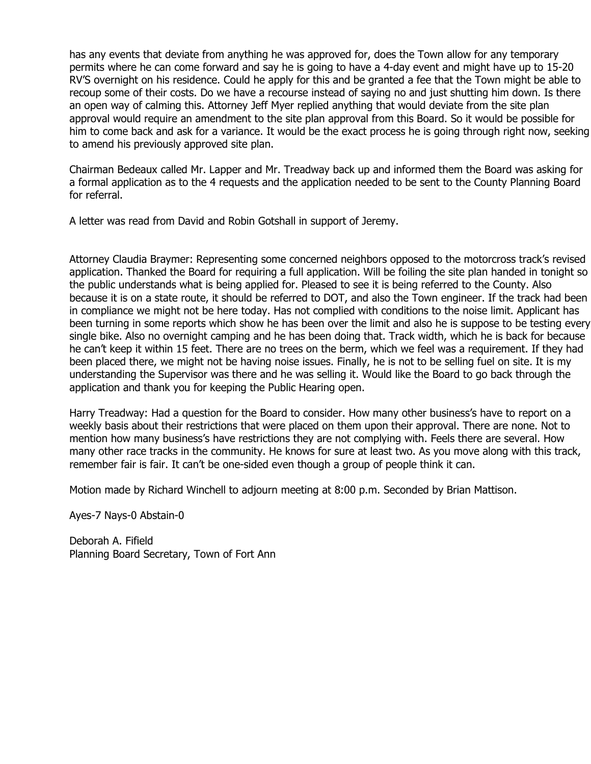has any events that deviate from anything he was approved for, does the Town allow for any temporary permits where he can come forward and say he is going to have a 4-day event and might have up to 15-20 RV'S overnight on his residence. Could he apply for this and be granted a fee that the Town might be able to recoup some of their costs. Do we have a recourse instead of saying no and just shutting him down. Is there an open way of calming this. Attorney Jeff Myer replied anything that would deviate from the site plan approval would require an amendment to the site plan approval from this Board. So it would be possible for him to come back and ask for a variance. It would be the exact process he is going through right now, seeking to amend his previously approved site plan.

Chairman Bedeaux called Mr. Lapper and Mr. Treadway back up and informed them the Board was asking for a formal application as to the 4 requests and the application needed to be sent to the County Planning Board for referral.

A letter was read from David and Robin Gotshall in support of Jeremy.

Attorney Claudia Braymer: Representing some concerned neighbors opposed to the motorcross track's revised application. Thanked the Board for requiring a full application. Will be foiling the site plan handed in tonight so the public understands what is being applied for. Pleased to see it is being referred to the County. Also because it is on a state route, it should be referred to DOT, and also the Town engineer. If the track had been in compliance we might not be here today. Has not complied with conditions to the noise limit. Applicant has been turning in some reports which show he has been over the limit and also he is suppose to be testing every single bike. Also no overnight camping and he has been doing that. Track width, which he is back for because he can't keep it within 15 feet. There are no trees on the berm, which we feel was a requirement. If they had been placed there, we might not be having noise issues. Finally, he is not to be selling fuel on site. It is my understanding the Supervisor was there and he was selling it. Would like the Board to go back through the application and thank you for keeping the Public Hearing open.

Harry Treadway: Had a question for the Board to consider. How many other business's have to report on a weekly basis about their restrictions that were placed on them upon their approval. There are none. Not to mention how many business's have restrictions they are not complying with. Feels there are several. How many other race tracks in the community. He knows for sure at least two. As you move along with this track, remember fair is fair. It can't be one-sided even though a group of people think it can.

Motion made by Richard Winchell to adjourn meeting at 8:00 p.m. Seconded by Brian Mattison.

Ayes-7 Nays-0 Abstain-0

Deborah A. Fifield Planning Board Secretary, Town of Fort Ann